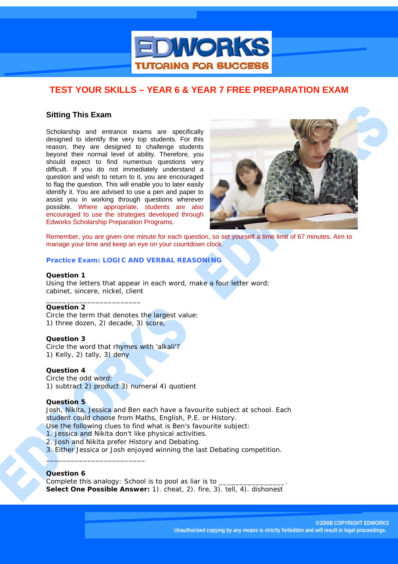

#### **Sitting This Exam**

Scholarship and entrance exams are specifically designed to identify the very top students. For this reason, they are designed to challenge students beyond their normal level of ability. Therefore, you should expect to find numerous questions very difficult. If you do not immediately understand a question and wish to return to it, you are encouraged to flag the question. This will enable you to later easily identify it. You are advised to use a pen and paper to assist you in working through questions wherever possible. Where appropriate, students are also encouraged to use the strategies developed through Edworks Scholarship Preparation Programs.



Remember, you are given one minute for each question, so set yourself a time limit of 67 minutes. Aim to manage your time and keep an eye on your countdown clock.

#### **Practice Exam: LOGIC AND VERBAL REASONING**

#### **Question 1**

Using the letters that appear in each word, make a four letter word: cabinet, sincere, nickel, client

#### **Question 2**

Circle the term that denotes the largest value: 1) three dozen, 2) decade, 3) score,

#### **Question 3**

Circle the word that rhymes with 'alkali'? 1) Kelly, 2) tally, 3) deny

\_\_\_\_\_\_\_\_\_\_\_\_\_\_\_\_\_\_\_\_\_\_\_

**Question 4** 

Circle the odd word: 1) subtract 2) product 3) numeral 4) quotient

#### **Question 5**

Josh, Nikita, Jessica and Ben each have a favourite subject at school. Each student could choose from Maths, English, P.E. or History.

Use the following clues to find what is Ben's favourite subject:

- 1. Jessica and Nikita don't like physical activities.
- 2. Josh and Nikita prefer History and Debating.

\_\_\_\_\_\_\_\_\_\_\_\_\_\_\_\_\_\_\_\_\_\_\_\_

3. Either Jessica or Josh enjoyed winning the last Debating competition.

#### **Question 6**

Complete this analogy: School is to pool as liar is to **Select One Possible Answer:** 1). cheat, 2). fire, 3). tell, 4). dishonest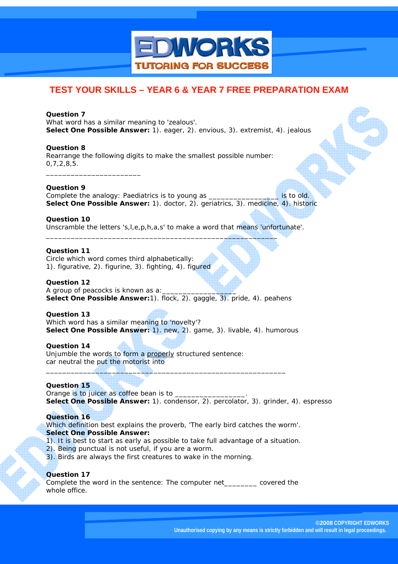

**Question 7**  What word has a similar meaning to 'zealous'. **Select One Possible Answer:** 1). eager, 2). envious, 3). extremist, 4). jealous

#### **Question 8**

Rearrange the following digits to make the smallest possible number: 0,7,2,8,5.

#### **Question 9**

\_\_\_\_\_\_\_\_\_\_\_\_\_\_\_\_\_\_\_\_\_\_\_

Complete the analogy: Paediatrics is to young as \_\_\_\_\_\_\_\_\_\_\_\_\_\_\_\_\_\_\_\_\_\_ is to old. **Select One Possible Answer:** 1). doctor, 2). geriatrics, 3). medicine, 4). historic

#### **Question 10**

Unscramble the letters 's,l,e,p,h,a,s' to make a word that means 'unfortunate'.

\_\_\_\_\_\_\_\_\_\_\_\_\_\_\_\_\_\_\_\_\_\_\_\_\_\_\_\_\_\_\_\_\_\_\_\_\_\_\_\_\_\_\_\_\_\_\_\_\_\_\_\_\_\_\_\_

#### **Question 11**

Circle which word comes third alphabetically: 1). figurative, 2). figurine, 3). fighting, 4). figured

#### **Question 12**

A group of peacocks is known as a: **Select One Possible Answer:**1). flock, 2). gaggle, 3). pride, 4). peahens

#### **Question 13**

Which word has a similar meaning to 'novelty'? **Select One Possible Answer:** 1). new, 2). game, 3). livable, 4). humorous

\_\_\_\_\_\_\_\_\_\_\_\_\_\_\_\_\_\_\_\_\_\_\_\_\_\_\_\_\_\_\_\_\_\_\_\_\_\_\_\_\_\_\_\_\_\_\_\_\_\_\_\_\_\_\_\_\_\_

#### **Question 14**

Unjumble the words to form a properly structured sentence: car neutral the put the motorist into

#### **Question 15**

Orange is to juicer as coffee bean is to **Select One Possible Answer:** 1). condensor, 2). percolator, 3). grinder, 4). espresso

#### **Question 16**

Which definition best explains the proverb, 'The early bird catches the worm'. **Select One Possible Answer:** 

- 1). It is best to start as early as possible to take full advantage of a situation.
- 2). Being punctual is not useful, if you are a worm.
- 3). Birds are always the first creatures to wake in the morning.

#### **Question 17**

Complete the word in the sentence: The computer net\_\_\_\_\_\_\_\_ covered the whole office.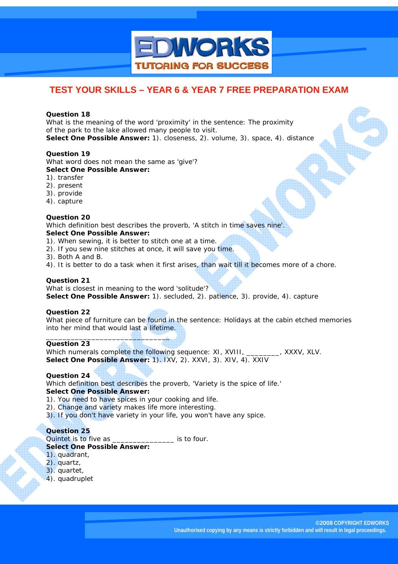

#### **Question 18**

What is the meaning of the word 'proximity' in the sentence: The proximity of the park to the lake allowed many people to visit.

**Select One Possible Answer:** 1). closeness, 2). volume, 3). space, 4). distance

#### **Question 19**

What word does not mean the same as 'give'? **Select One Possible Answer:** 

- 1). transfer
- 2). present
- 3). provide
- 4). capture

#### **Question 20**

Which definition best describes the proverb, 'A stitch in time saves nine'. **Select One Possible Answer:** 

- 1). When sewing, it is better to stitch one at a time.
- 2). If you sew nine stitches at once, it will save you time.
- 3). Both A and B.
- 4). It is better to do a task when it first arises, than wait till it becomes more of a chore.

#### **Question 21**

What is closest in meaning to the word 'solitude'? **Select One Possible Answer:** 1). secluded, 2). patience, 3). provide, 4). capture

#### **Question 22**

What piece of furniture can be found in the sentence: Holidays at the cabin etched memories into her mind that would last a lifetime.

#### **Question 23**

Which numerals complete the following sequence: XI, XVIII, \_\_\_\_\_\_\_, XXXV, XLV. **Select One Possible Answer:** 1). IXV, 2). XXVI, 3). XIV, 4). XXIV

#### **Question 24**

Which definition best describes the proverb, 'Variety is the spice of life.' **Select One Possible Answer:** 

- 1). You need to have spices in your cooking and life.
- 2). Change and variety makes life more interesting.
- 3). If you don't have variety in your life, you won't have any spice.

#### **Question 25**

Quintet is to five as \_\_\_\_\_\_\_\_\_\_\_\_\_\_\_ is to four.

#### **Select One Possible Answer:**

\_\_\_\_\_\_\_\_\_\_\_\_\_\_\_\_\_\_\_\_\_\_\_\_\_\_\_\_\_\_

- 1). quadrant,
- 2). quartz,
- 3). quartet,
- 4). quadruplet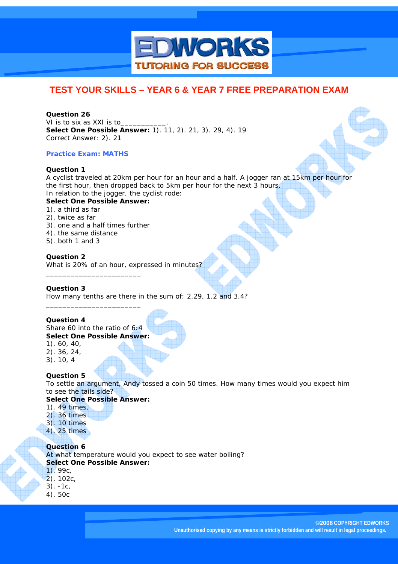

#### **Question 26**

VI is to six as XXI is to **Select One Possible Answer:** 1). 11, 2). 21, 3). 29, 4). 19 Correct Answer: 2). 21

#### **Practice Exam: MATHS**

#### **Question 1**

A cyclist traveled at 20km per hour for an hour and a half. A jogger ran at 15km per hour for the first hour, then dropped back to 5km per hour for the next 3 hours. In relation to the jogger, the cyclist rode:

#### **Select One Possible Answer:**

- 1). a third as far
- 2). twice as far
- 3). one and a half times further

\_\_\_\_\_\_\_\_\_\_\_\_\_\_\_\_\_\_\_\_\_\_\_

\_\_\_\_\_\_\_\_\_\_\_\_\_\_\_\_\_\_\_\_\_\_\_

- 4). the same distance
- 5). both 1 and 3

#### **Question 2**

What is 20% of an hour, expressed in minutes?

#### **Question 3**

How many tenths are there in the sum of: 2.29, 1.2 and 3.4?

#### **Question 4**

Share 60 into the ratio of 6:4

#### **Select One Possible Answer:**

- 1). 60, 40,
- 2). 36, 24,
- 3). 10, 4

#### **Question 5**

To settle an argument, Andy tossed a coin 50 times. How many times would you expect him to see the tails side?

#### **Select One Possible Answer:**

- 1). 49 times,
- 2). 36 times
- 3). 10 times
- 4). 25 times

#### **Question 6**

At what temperature would you expect to see water boiling? **Select One Possible Answer:** 

- 1). 99c,
- 2). 102c,
- 3). -1c,
- 4). 50c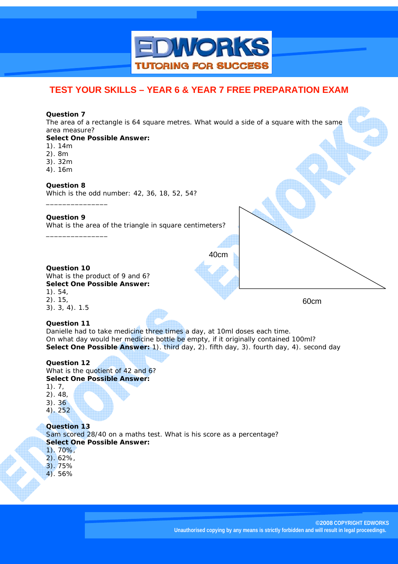

#### **Question 7**

The area of a rectangle is 64 square metres. What would a side of a square with the same area measure?

**Select One Possible Answer:** 

- 1). 14m
- 2). 8m
- 3). 32m
- 4). 16m

#### **Question 8**

 $\overline{\phantom{a}}$  , where  $\overline{\phantom{a}}$  , where  $\overline{\phantom{a}}$  , where  $\overline{\phantom{a}}$ 

\_\_\_\_\_\_\_\_\_\_\_\_\_\_\_

Which is the odd number: 42, 36, 18, 52, 54?

#### **Question 9**

What is the area of the triangle in square centimeters?

40cm

#### **Question 10**  What is the product of 9 and 6? **Select One Possible Answer:**

1). 54, 2). 15, 3). 3, 4). 1.5

60cm

#### **Question 11**

Danielle had to take medicine three times a day, at 10ml doses each time. On what day would her medicine bottle be empty, if it originally contained 100ml? **Select One Possible Answer:** 1). third day, 2). fifth day, 3). fourth day, 4). second day

#### **Question 12**

What is the quotient of 42 and 6? **Select One Possible Answer:** 

- 1). 7,
- 2). 48,
- 3). 36 4). 252
- 

**Question 13**  Sam scored 28/40 on a maths test. What is his score as a percentage? **Select One Possible Answer:** 

- 1). 70%,
- 2). 62%,
- 3). 75%
- 4). 56%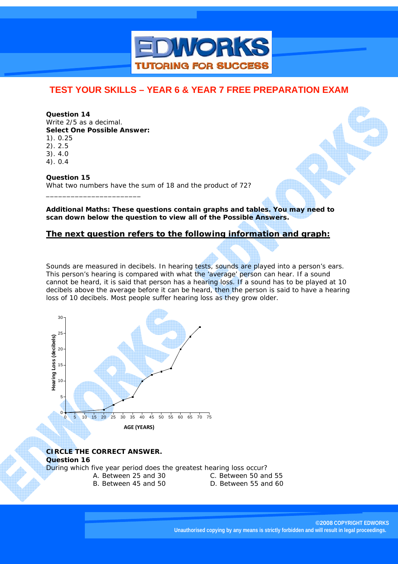

**Question 14** 

Write 2/5 as a decimal.

**Select One Possible Answer:** 

\_\_\_\_\_\_\_\_\_\_\_\_\_\_\_\_\_\_\_\_\_\_\_

1). 0.25

2). 2.5

3). 4.0

4). 0.4

**Question 15**  What two numbers have the sum of 18 and the product of 72?

**Additional Maths: These questions contain graphs and tables. You may need to scan down below the question to view all of the Possible Answers.** 

## **The next question refers to the following information and graph:**

Sounds are measured in decibels. In hearing tests, sounds are played into a person's ears. This person's hearing is compared with what the 'average' person can hear. If a sound cannot be heard, it is said that person has a hearing loss. If a sound has to be played at 10 decibels above the average before it can be heard, then the person is said to have a hearing loss of 10 decibels. Most people suffer hearing loss as they grow older.



**CIRCLE THE CORRECT ANSWER. Question 16**  During which five year period does the greatest hearing loss occur? A. Between 25 and 30 C. Between 50 and 55 B. Between 45 and 50 D. Between 55 and 60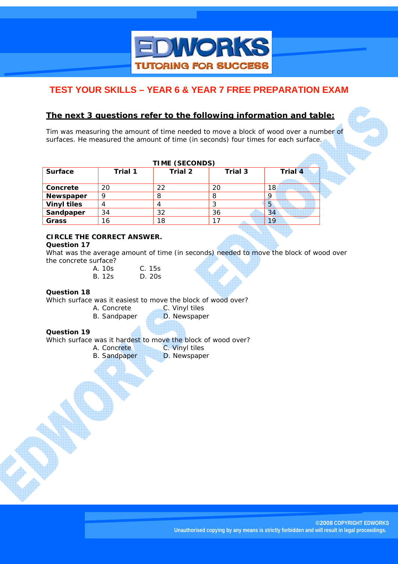## **WORKS TUTORING FOR SUCCESS**

## **TEST YOUR SKILLS – YEAR 6 & YEAR 7 FREE PREPARATION EXAM**

## **The next 3 questions refer to the following information and table:**

Tim was measuring the amount of time needed to move a block of wood over a number of surfaces. He measured the amount of time (in seconds) four times for each surface.

| <b>TIME (SECONDS)</b> |                |                |         |                |  |  |  |  |
|-----------------------|----------------|----------------|---------|----------------|--|--|--|--|
| <b>Surface</b>        | <b>Trial 1</b> | <b>Trial 2</b> | Trial 3 | <b>Trial 4</b> |  |  |  |  |
|                       |                |                |         |                |  |  |  |  |
| Concrete              | 20             | 22             | 20      | 18             |  |  |  |  |
| Newspaper             |                | 8              |         |                |  |  |  |  |
| <b>Vinyl tiles</b>    |                |                |         | 5              |  |  |  |  |
| Sandpaper             | 34             | 32             | 36      | 34             |  |  |  |  |
| Grass                 | 16             | 18             |         | 19             |  |  |  |  |

### **CIRCLE THE CORRECT ANSWER.**

#### **Question 17**

What was the average amount of time (in seconds) needed to move the block of wood over the concrete surface?

| A. 10s | C.15s  |
|--------|--------|
| B. 12s | D. 20s |

#### **Question 18**

Which surface was it easiest to move the block of wood over?

- A. Concrete C. Vinyl tiles B. Sandpaper **D.** Newspaper
	-

**Question 19** 

Which surface was it hardest to move the block of wood over?

- A. Concrete C. Vinyl tiles
	- B. Sandpaper D. Newspaper

di la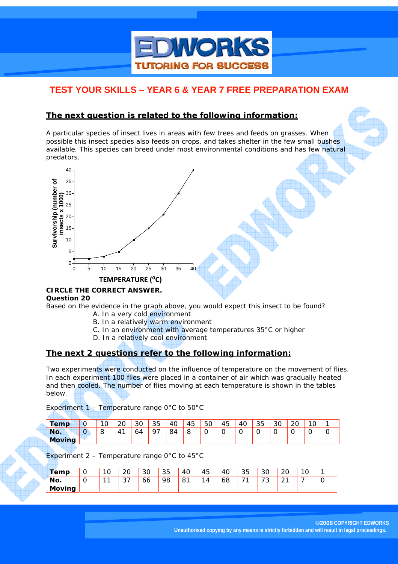# **UTORING FOR SUCCESS**

**DWORKS** 

## **TEST YOUR SKILLS – YEAR 6 & YEAR 7 FREE PREPARATION EXAM**

### **The next question is related to the following information:**

A particular species of insect lives in areas with few trees and feeds on grasses. When possible this insect species also feeds on crops, and takes shelter in the few small bushes available. This species can breed under most environmental conditions and has few natural predators.



#### **CIRCLE THE CORRECT ANSWER. Question 20**

Based on the evidence in the graph above, you would expect this insect to be found? A. In a very cold environment

- B. In a relatively warm environment
- C. In an environment with average temperatures 35°C or higher
- D. In a relatively cool environment

## **The next 2 questions refer to the following information:**

Two experiments were conducted on the influence of temperature on the movement of flies. In each experiment 100 flies were placed in a container of air which was gradually heated and then cooled. The number of flies moving at each temperature is shown in the tables below.

Experiment 1 – Temperature range 0°C to 50°C

| <b>Temp</b>   | ັ | $\sim$<br>◢<br>U | 20           | 30 | 35      | 40 | 45              | 50 | 45 | 40 | マド<br>ັບ | 30 | 20 | ◡ |  |
|---------------|---|------------------|--------------|----|---------|----|-----------------|----|----|----|----------|----|----|---|--|
| No.           | ັ | O                | $4^{\prime}$ | 64 | ~-<br>ີ | 84 | $\sqrt{2}$<br>5 | ◡  | ∼  | ∼  |          | ັ  |    | ∼ |  |
| <b>Moving</b> |   |                  |              |    |         |    |                 |    |    |    |          |    |    |   |  |

Experiment 2 – Temperature range 0°C to 45°C

| emp                | ັ | C   | 20                         | 30 | マド<br>ບປ | 40       | 45     | 40 | マド<br>ັບ | 30                            | $\sim$<br>∠◡ | 10<br>$\cdot$ C |   |
|--------------------|---|-----|----------------------------|----|----------|----------|--------|----|----------|-------------------------------|--------------|-----------------|---|
| No.                | ັ | - 1 | $\sim$ $\rightarrow$<br>ັ້ | 66 | 98       | - R<br>ັ | а<br>4 | 68 | →        | $\overline{\phantom{a}}$<br>◡ | $\sim$<br>_  |                 | J |
| <b>Moving</b><br>- |   |     |                            |    |          |          |        |    |          |                               |              |                 |   |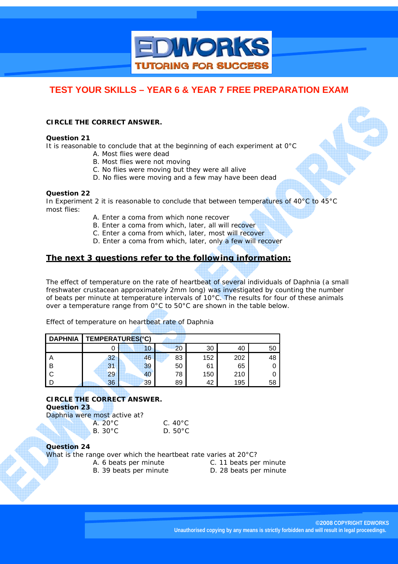## **DWORK UTORING FOR SUCCE**

## **TEST YOUR SKILLS – YEAR 6 & YEAR 7 FREE PREPARATION EXAM**

#### **CIRCLE THE CORRECT ANSWER.**

#### **Question 21**

It is reasonable to conclude that at the beginning of each experiment at 0°C

- A. Most flies were dead
- B. Most flies were not moving
- C. No flies were moving but they were all alive
- D. No flies were moving and a few may have been dead

#### **Question 22**

In Experiment 2 it is reasonable to conclude that between temperatures of 40°C to 45°C most flies:

- A. Enter a coma from which none recover
- B. Enter a coma from which, later, all will recover
- C. Enter a coma from which, later, most will recover
- D. Enter a coma from which, later, only a few will recover

### **The next 3 questions refer to the following information:**

The effect of temperature on the rate of heartbeat of several individuals of *Daphnia* (a small freshwater crustacean approximately 2mm long) was investigated by counting the number of beats per minute at temperature intervals of 10°C. The results for four of these animals over a temperature range from 0°C to 50°C are shown in the table below.

Effect of temperature on heartbeat rate of Daphnia

| <b>DAPHNIA</b>          |    | TEMPERATURES(°C) |    |     |     |    |  |  |  |  |
|-------------------------|----|------------------|----|-----|-----|----|--|--|--|--|
|                         |    | 10               | 20 | 30  | 40  | 50 |  |  |  |  |
| $\overline{\mathsf{A}}$ | 32 | 46               | 83 | 152 | 202 | 48 |  |  |  |  |
| - B                     | 31 | 39               | 50 | 61  | 65  |    |  |  |  |  |
| l C                     | 29 | 40               | 78 | 150 | 210 |    |  |  |  |  |
|                         | 36 | 39               | 89 | 42  | 195 | 58 |  |  |  |  |

#### **CIRCLE THE CORRECT ANSWER. Question 23**

Daphnia were

| Daphnia were most active at? |                 |
|------------------------------|-----------------|
| A. $20^{\circ}$ C            | $C.40^{\circ}C$ |
| B. 30 <sup>°</sup> C         | D. 50°C.        |

#### **Question 24**

What is the range over which the heartbeat rate varies at 20°C?

- 
- A. 6 beats per minute C. 11 beats per minute
- B. 39 beats per minute D. 28 beats per minute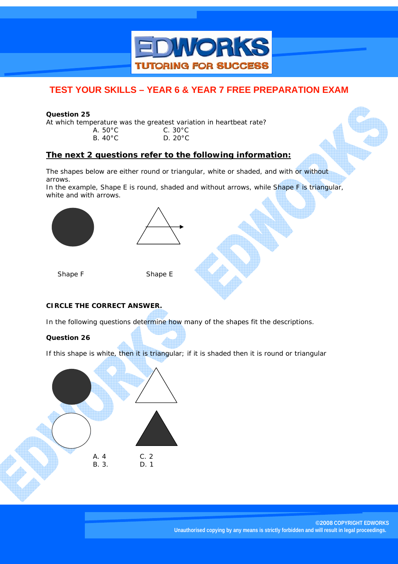

#### **Question 25**

At which temperature was the greatest variation in heartbeat rate?

| A. $50^{\circ}$ C. | C. $30^{\circ}$ C |
|--------------------|-------------------|
| B. $40^{\circ}$ C  | D. $20^{\circ}$ C |

### **The next 2 questions refer to the following information:**

The shapes below are either round or triangular, white or shaded, and with or without arrows.

In the example, Shape E is round, shaded and without arrows, while Shape F is triangular, white and with arrows.





Shape F Shape E

#### **CIRCLE THE CORRECT ANSWER.**

In the following questions determine how many of the shapes fit the descriptions.

#### **Question 26**

If this shape is white, then it is triangular; if it is shaded then it is round or triangular

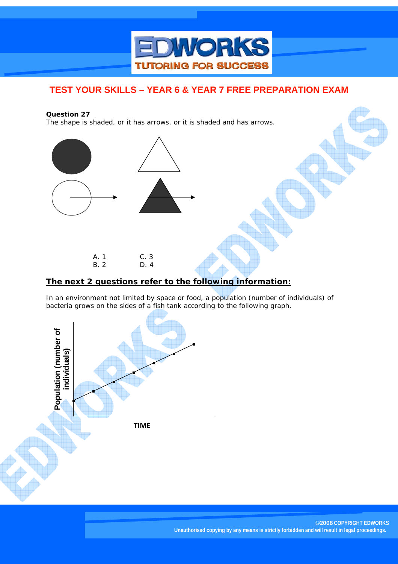

#### **Question 27**

The shape is shaded, or it has arrows, or it is shaded and has arrows.



## **The next 2 questions refer to the following information:**

In an environment not limited by space or food, a population (number of individuals) of bacteria grows on the sides of a fish tank according to the following graph.

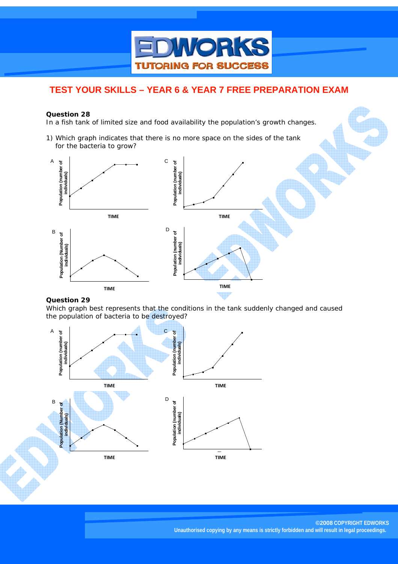

#### **Question 28**

In a fish tank of limited size and food availability the population's growth changes.

1) Which graph indicates that there is no more space on the sides of the tank for the bacteria to grow?



#### **Question 29**

Which graph best represents that the conditions in the tank suddenly changed and caused the population of bacteria to be destroyed?

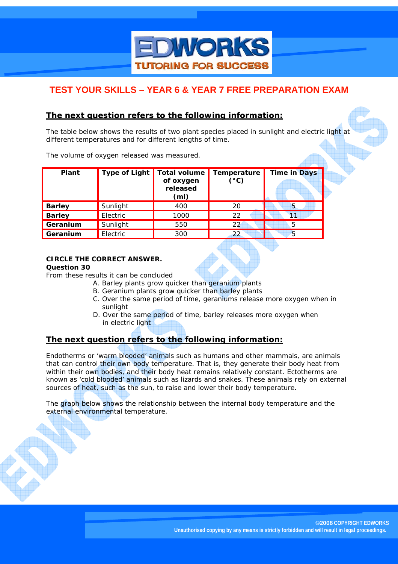## DWORK **UTORING FOR SUCCE**

## **TEST YOUR SKILLS – YEAR 6 & YEAR 7 FREE PREPARATION EXAM**

## **The next question refers to the following information:**

The table below shows the results of two plant species placed in sunlight and electric light at different temperatures and for different lengths of time.

The volume of oxygen released was measured.

| Plant         | <b>Type of Light</b> | <b>Total volume</b><br>of oxygen<br>released<br>(ml) | Temperature<br>$(^{\circ}C)$ | <b>Time in Days</b> |
|---------------|----------------------|------------------------------------------------------|------------------------------|---------------------|
| <b>Barley</b> | Sunlight             | 400                                                  | 20                           | 5                   |
| <b>Barley</b> | Electric             | 1000                                                 | 22                           | 11                  |
| Geranium      | Sunlight             | 550                                                  | 22                           | 5                   |
| Geranium      | Electric             | 300                                                  | 22                           | 5                   |

## **CIRCLE THE CORRECT ANSWER.**

#### **Question 30**

From these results it can be concluded

- A. Barley plants grow quicker than geranium plants
- B. Geranium plants grow quicker than barley plants
- C. Over the same period of time, geraniums release more oxygen when in sunlight
- D. Over the same period of time, barley releases more oxygen when in electric light

## **The next question refers to the following information:**

Endotherms or 'warm blooded' animals such as humans and other mammals, are animals that can control their own body temperature. That is, they generate their body heat from within their own bodies, and their body heat remains relatively constant. Ectotherms are known as 'cold blooded' animals such as lizards and snakes. These animals rely on external sources of heat, such as the sun, to raise and lower their body temperature.

The graph below shows the relationship between the internal body temperature and the external environmental temperature.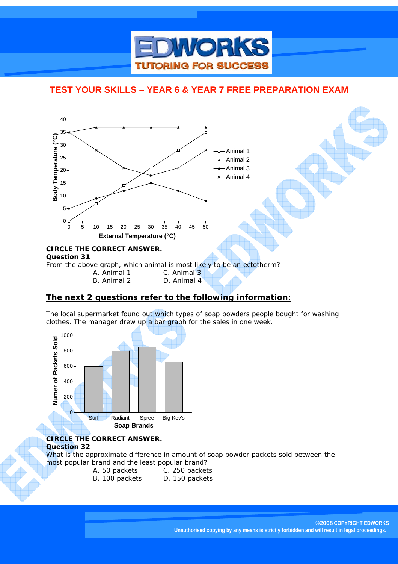## **WORKS TUTORING FOR SUCCESS**

## **TEST YOUR SKILLS – YEAR 6 & YEAR 7 FREE PREPARATION EXAM**



B. Animal 2 D. Animal 4

## **The next 2 questions refer to the following information:**

The local supermarket found out which types of soap powders people bought for washing clothes. The manager drew up a bar graph for the sales in one week.



#### **CIRCLE THE CORRECT ANSWER. Question 32**

- What is the approximate difference in amount of soap powder packets sold between the most popular brand and the least popular brand?
	- A. 50 packets C. 250 packets
	- B. 100 packets D. 150 packets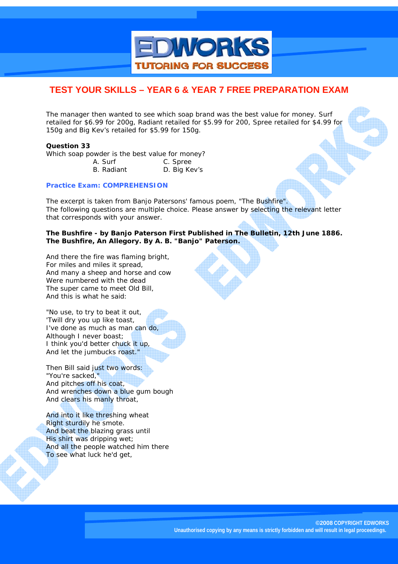

The manager then wanted to see which soap brand was the best value for money. Surf retailed for \$6.99 for 200g, Radiant retailed for \$5.99 for 200, Spree retailed for \$4.99 for 150g and Big Kev's retailed for \$5.99 for 150g.

#### **Question 33**

Which soap powder is the best value for money? A. Surf C. Spree B. Radiant D. Big Kev's

#### **Practice Exam: COMPREHENSION**

The excerpt is taken from Banjo Patersons' famous poem, "The Bushfire". The following questions are multiple choice. Please answer by selecting the relevant letter that corresponds with your answer.

#### **The Bushfire - by Banjo Paterson First Published in The Bulletin, 12th June 1886. The Bushfire, An Allegory. By A. B. "Banjo" Paterson.**

And there the fire was flaming bright, For miles and miles it spread, And many a sheep and horse and cow Were numbered with the dead The super came to meet Old Bill, And this is what he said:

"No use, to try to beat it out, 'Twill dry you up like toast, I've done as much as man can do, Although I never boast; I think you'd better chuck it up, And let the jumbucks roast."

Then Bill said just two words: "You're sacked," And pitches off his coat, And wrenches down a blue gum bough And clears his manly throat,

And into it like threshing wheat Right sturdily he smote. And beat the blazing grass until His shirt was dripping wet; And all the people watched him there To see what luck he'd get,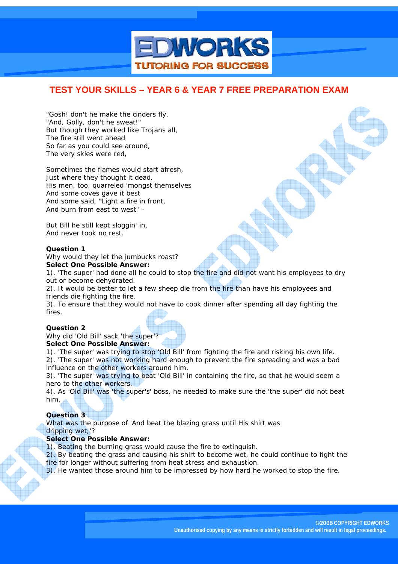

"Gosh! don't he make the cinders fly, "And, Golly, don't he sweat!" But though they worked like Trojans all, The fire still went ahead So far as you could see around, The very skies were red,

Sometimes the flames would start afresh, Just where they thought it dead. His men, too, quarreled 'mongst themselves And some coves gave it best And some said, "Light a fire in front, And burn from east to west" –

But Bill he still kept sloggin' in, And never took no rest.

#### **Question 1**

Why would they let the jumbucks roast? **Select One Possible Answer:** 

1). 'The super' had done all he could to stop the fire and did not want his employees to dry out or become dehydrated.

2). It would be better to let a few sheep die from the fire than have his employees and friends die fighting the fire.

3). To ensure that they would not have to cook dinner after spending all day fighting the fires.

#### **Question 2**

Why did 'Old Bill' sack 'the super'? **Select One Possible Answer:** 

1). 'The super' was trying to stop 'Old Bill' from fighting the fire and risking his own life. 2). 'The super' was not working hard enough to prevent the fire spreading and was a bad influence on the other workers around him.

3). 'The super' was trying to beat 'Old Bill' in containing the fire, so that he would seem a hero to the other workers.

4). As 'Old Bill' was 'the super's' boss, he needed to make sure the 'the super' did not beat him.

#### **Question 3**

What was the purpose of 'And beat the blazing grass until His shirt was dripping wet;'?

#### **Select One Possible Answer:**

1). Beating the burning grass would cause the fire to extinguish.

2). By beating the grass and causing his shirt to become wet, he could continue to fight the fire for longer without suffering from heat stress and exhaustion.

3). He wanted those around him to be impressed by how hard he worked to stop the fire.